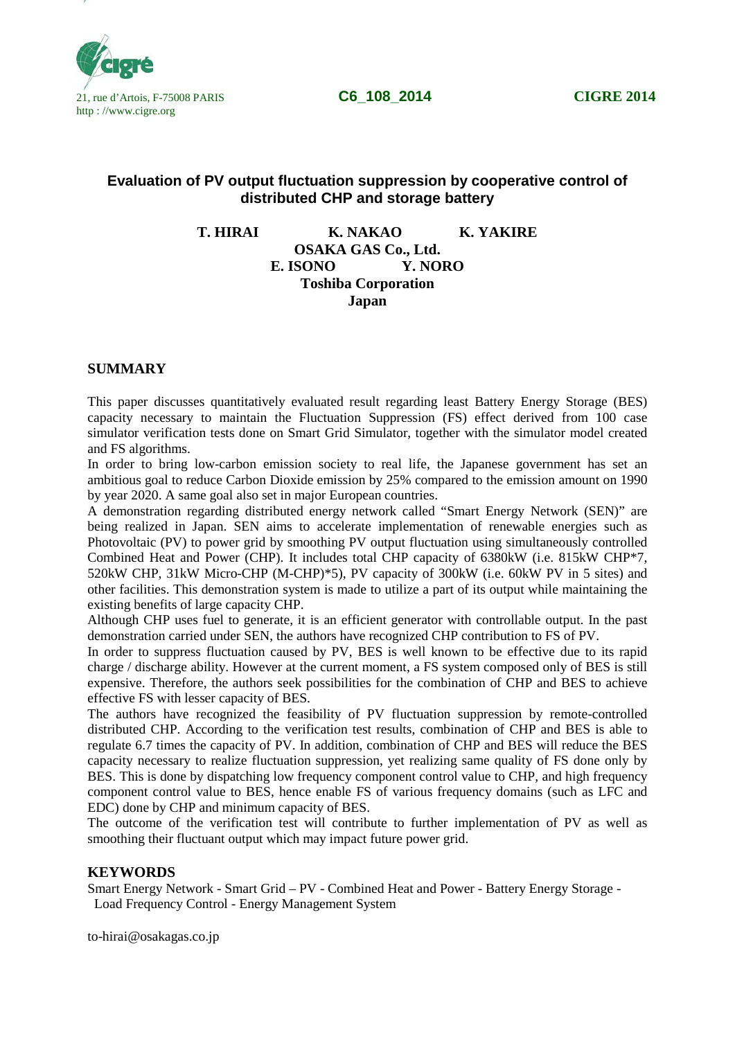

# **Evaluation of PV output fluctuation suppression by cooperative control of distributed CHP and storage battery**

**T. HIRAI K. NAKAO K. YAKIRE OSAKA GAS Co., Ltd. E. ISONO Y. NORO Toshiba Corporation Japan**

#### **SUMMARY**

This paper discusses quantitatively evaluated result regarding least Battery Energy Storage (BES) capacity necessary to maintain the Fluctuation Suppression (FS) effect derived from 100 case simulator verification tests done on Smart Grid Simulator, together with the simulator model created and FS algorithms.

In order to bring low-carbon emission society to real life, the Japanese government has set an ambitious goal to reduce Carbon Dioxide emission by 25% compared to the emission amount on 1990 by year 2020. A same goal also set in major European countries.

A demonstration regarding distributed energy network called "Smart Energy Network (SEN)" are being realized in Japan. SEN aims to accelerate implementation of renewable energies such as Photovoltaic (PV) to power grid by smoothing PV output fluctuation using simultaneously controlled Combined Heat and Power (CHP). It includes total CHP capacity of 6380kW (i.e. 815kW CHP\*7, 520kW CHP, 31kW Micro-CHP (M-CHP)\*5), PV capacity of 300kW (i.e. 60kW PV in 5 sites) and other facilities. This demonstration system is made to utilize a part of its output while maintaining the existing benefits of large capacity CHP.

Although CHP uses fuel to generate, it is an efficient generator with controllable output. In the past demonstration carried under SEN, the authors have recognized CHP contribution to FS of PV.

In order to suppress fluctuation caused by PV, BES is well known to be effective due to its rapid charge / discharge ability. However at the current moment, a FS system composed only of BES is still expensive. Therefore, the authors seek possibilities for the combination of CHP and BES to achieve effective FS with lesser capacity of BES.

The authors have recognized the feasibility of PV fluctuation suppression by remote-controlled distributed CHP. According to the verification test results, combination of CHP and BES is able to regulate 6.7 times the capacity of PV. In addition, combination of CHP and BES will reduce the BES capacity necessary to realize fluctuation suppression, yet realizing same quality of FS done only by BES. This is done by dispatching low frequency component control value to CHP, and high frequency component control value to BES, hence enable FS of various frequency domains (such as LFC and EDC) done by CHP and minimum capacity of BES.

The outcome of the verification test will contribute to further implementation of PV as well as smoothing their fluctuant output which may impact future power grid.

## **KEYWORDS**

Smart Energy Network - Smart Grid – PV - Combined Heat and Power - Battery Energy Storage - Load Frequency Control - Energy Management System

to-hirai@osakagas.co.jp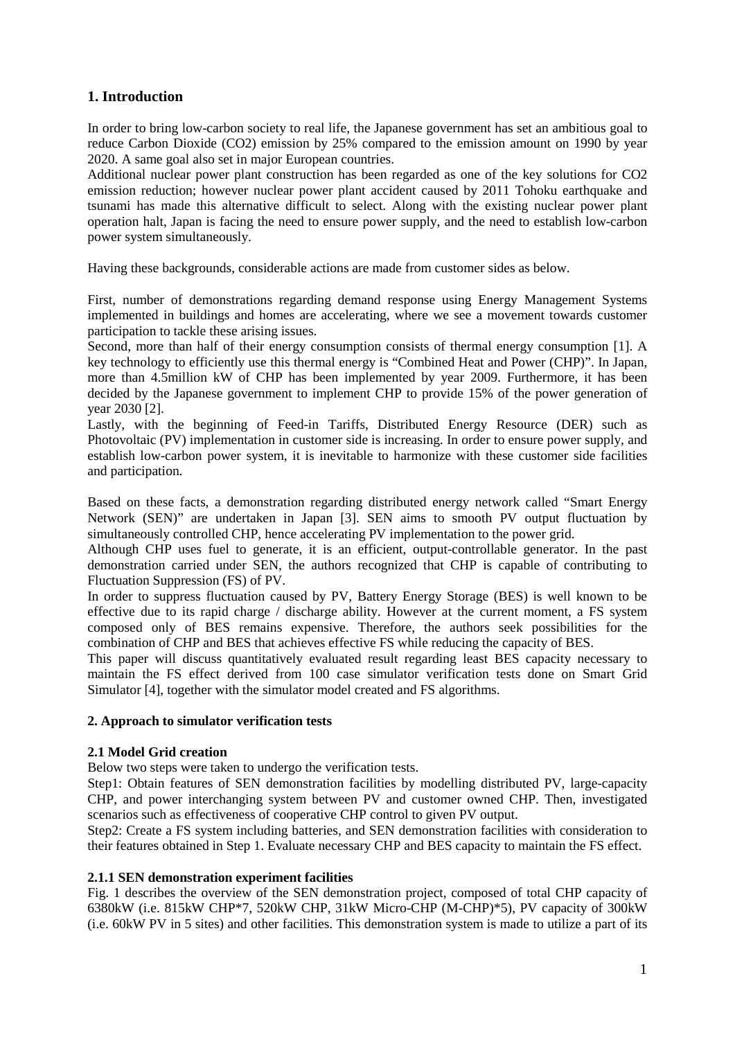# **1. Introduction**

In order to bring low-carbon society to real life, the Japanese government has set an ambitious goal to reduce Carbon Dioxide (CO2) emission by 25% compared to the emission amount on 1990 by year 2020. A same goal also set in major European countries.

Additional nuclear power plant construction has been regarded as one of the key solutions for CO2 emission reduction; however nuclear power plant accident caused by 2011 Tohoku earthquake and tsunami has made this alternative difficult to select. Along with the existing nuclear power plant operation halt, Japan is facing the need to ensure power supply, and the need to establish low-carbon power system simultaneously.

Having these backgrounds, considerable actions are made from customer sides as below.

First, number of demonstrations regarding demand response using Energy Management Systems implemented in buildings and homes are accelerating, where we see a movement towards customer participation to tackle these arising issues.

Second, more than half of their energy consumption consists of thermal energy consumption [1]. A key technology to efficiently use this thermal energy is "Combined Heat and Power (CHP)". In Japan, more than 4.5million kW of CHP has been implemented by year 2009. Furthermore, it has been decided by the Japanese government to implement CHP to provide 15% of the power generation of year 2030 [2].

Lastly, with the beginning of Feed-in Tariffs, Distributed Energy Resource (DER) such as Photovoltaic (PV) implementation in customer side is increasing. In order to ensure power supply, and establish low-carbon power system, it is inevitable to harmonize with these customer side facilities and participation.

Based on these facts, a demonstration regarding distributed energy network called "Smart Energy Network (SEN)" are undertaken in Japan [3]. SEN aims to smooth PV output fluctuation by simultaneously controlled CHP, hence accelerating PV implementation to the power grid.

Although CHP uses fuel to generate, it is an efficient, output-controllable generator. In the past demonstration carried under SEN, the authors recognized that CHP is capable of contributing to Fluctuation Suppression (FS) of PV.

In order to suppress fluctuation caused by PV, Battery Energy Storage (BES) is well known to be effective due to its rapid charge / discharge ability. However at the current moment, a FS system composed only of BES remains expensive. Therefore, the authors seek possibilities for the combination of CHP and BES that achieves effective FS while reducing the capacity of BES.

This paper will discuss quantitatively evaluated result regarding least BES capacity necessary to maintain the FS effect derived from 100 case simulator verification tests done on Smart Grid Simulator [4], together with the simulator model created and FS algorithms.

# **2. Approach to simulator verification tests**

# **2.1 Model Grid creation**

Below two steps were taken to undergo the verification tests.

Step1: Obtain features of SEN demonstration facilities by modelling distributed PV, large-capacity CHP, and power interchanging system between PV and customer owned CHP. Then, investigated scenarios such as effectiveness of cooperative CHP control to given PV output.

Step2: Create a FS system including batteries, and SEN demonstration facilities with consideration to their features obtained in Step 1. Evaluate necessary CHP and BES capacity to maintain the FS effect.

# **2.1.1 SEN demonstration experiment facilities**

Fig. 1 describes the overview of the SEN demonstration project, composed of total CHP capacity of 6380kW (i.e. 815kW CHP\*7, 520kW CHP, 31kW Micro-CHP (M-CHP)\*5), PV capacity of 300kW (i.e. 60kW PV in 5 sites) and other facilities. This demonstration system is made to utilize a part of its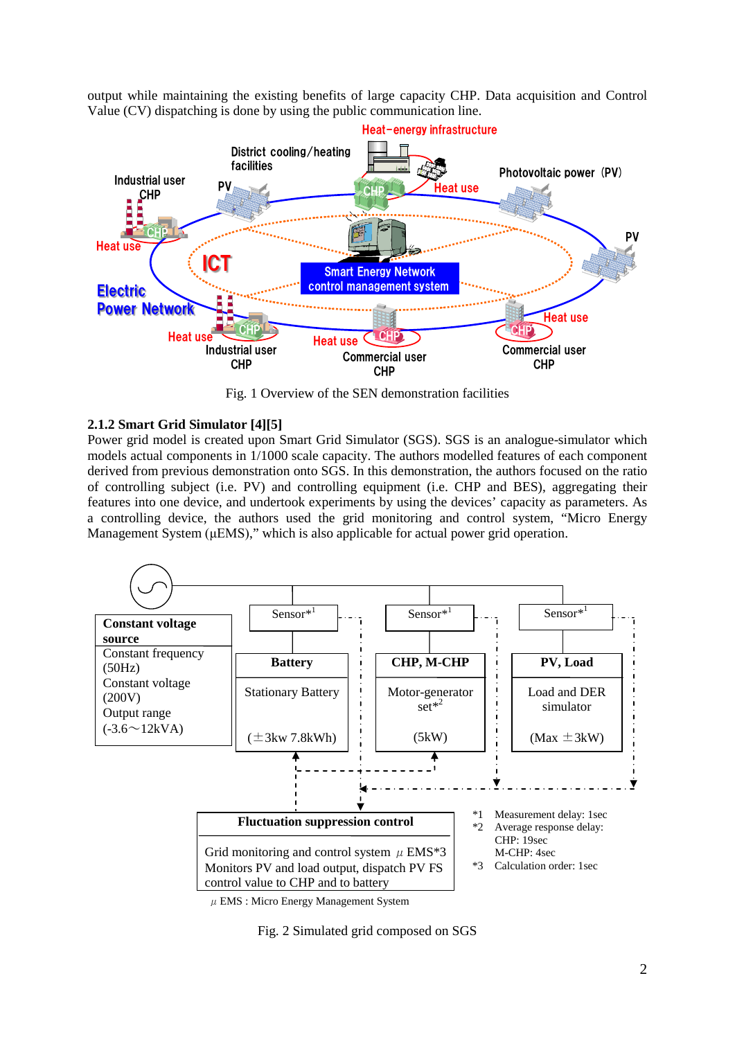output while maintaining the existing benefits of large capacity CHP. Data acquisition and Control Value (CV) dispatching is done by using the public communication line.



Fig. 1 Overview of the SEN demonstration facilities

### **2.1.2 Smart Grid Simulator [4][5]**

Power grid model is created upon Smart Grid Simulator (SGS). SGS is an analogue-simulator which models actual components in 1/1000 scale capacity. The authors modelled features of each component derived from previous demonstration onto SGS. In this demonstration, the authors focused on the ratio of controlling subject (i.e. PV) and controlling equipment (i.e. CHP and BES), aggregating their features into one device, and undertook experiments by using the devices' capacity as parameters. As a controlling device, the authors used the grid monitoring and control system, "Micro Energy Management System (μEMS)," which is also applicable for actual power grid operation.



 $\mu$  EMS : Micro Energy Management System

Fig. 2 Simulated grid composed on SGS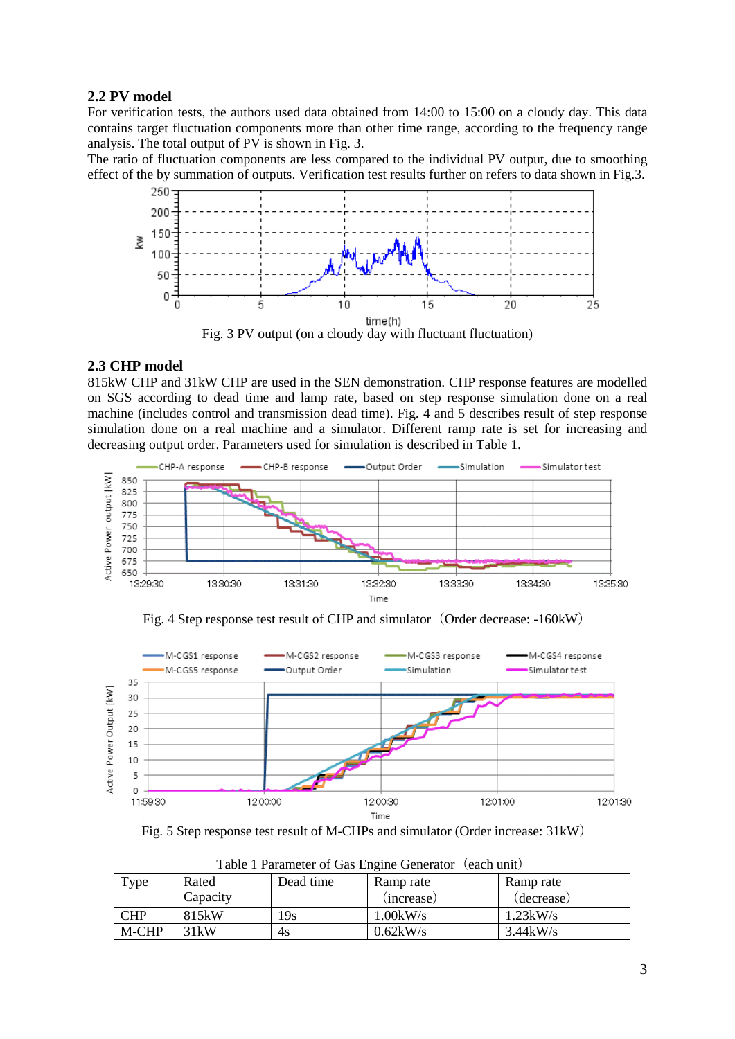# **2.2 PV model**

For verification tests, the authors used data obtained from 14:00 to 15:00 on a cloudy day. This data contains target fluctuation components more than other time range, according to the frequency range analysis. The total output of PV is shown in Fig. 3.

The ratio of fluctuation components are less compared to the individual PV output, due to smoothing effect of the by summation of outputs. Verification test results further on refers to data shown in Fig.3.



### **2.3 CHP model**

815kW CHP and 31kW CHP are used in the SEN demonstration. CHP response features are modelled on SGS according to dead time and lamp rate, based on step response simulation done on a real machine (includes control and transmission dead time). Fig. 4 and 5 describes result of step response simulation done on a real machine and a simulator. Different ramp rate is set for increasing and decreasing output order. Parameters used for simulation is described in Table 1.





Fig. 4 Step response test result of CHP and simulator (Order decrease: -160kW)

Fig. 5 Step response test result of M-CHPs and simulator (Order increase: 31kW)

| I able I I alameter of Gas Engine Generator (Caen anny |          |           |             |                    |
|--------------------------------------------------------|----------|-----------|-------------|--------------------|
| Type                                                   | Rated    | Dead time | Ramp rate   | Ramp rate          |
|                                                        | Capacity |           | (increase)  | (decrease)         |
| <b>CHP</b>                                             | 815kW    | 19s       | $1.00$ kW/s | 1.23kW/s           |
| M-CHP                                                  | 31kW     | 4s        | $0.62$ kW/s | $3.44 \text{kW/s}$ |

Table 1 Parameter of Gas Engine Generator (each unit)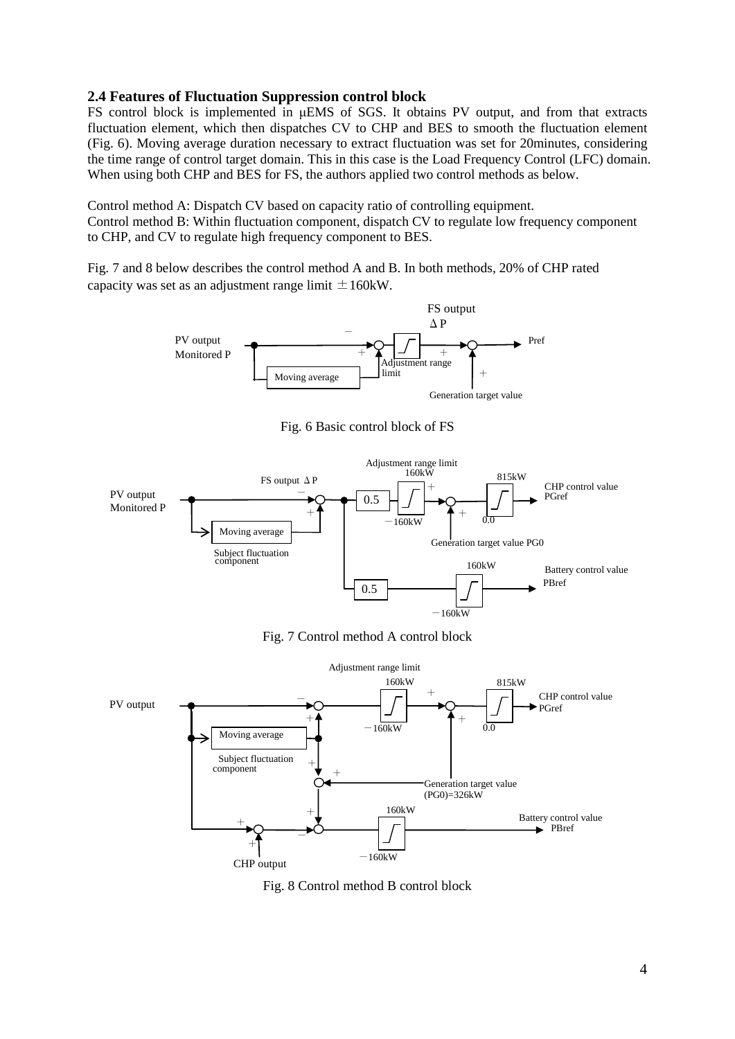### **2.4 Features of Fluctuation Suppression control block**

FS control block is implemented in μEMS of SGS. It obtains PV output, and from that extracts fluctuation element, which then dispatches CV to CHP and BES to smooth the fluctuation element (Fig. 6). Moving average duration necessary to extract fluctuation was set for 20minutes, considering the time range of control target domain. This in this case is the Load Frequency Control (LFC) domain. When using both CHP and BES for FS, the authors applied two control methods as below.

Control method A: Dispatch CV based on capacity ratio of controlling equipment. Control method B: Within fluctuation component, dispatch CV to regulate low frequency component to CHP, and CV to regulate high frequency component to BES.

FS output

Fig. 7 and 8 below describes the control method A and B. In both methods, 20% of CHP rated capacity was set as an adjustment range limit  $\pm 160$ kW.



Fig. 7 Control method A control block



Fig. 8 Control method B control block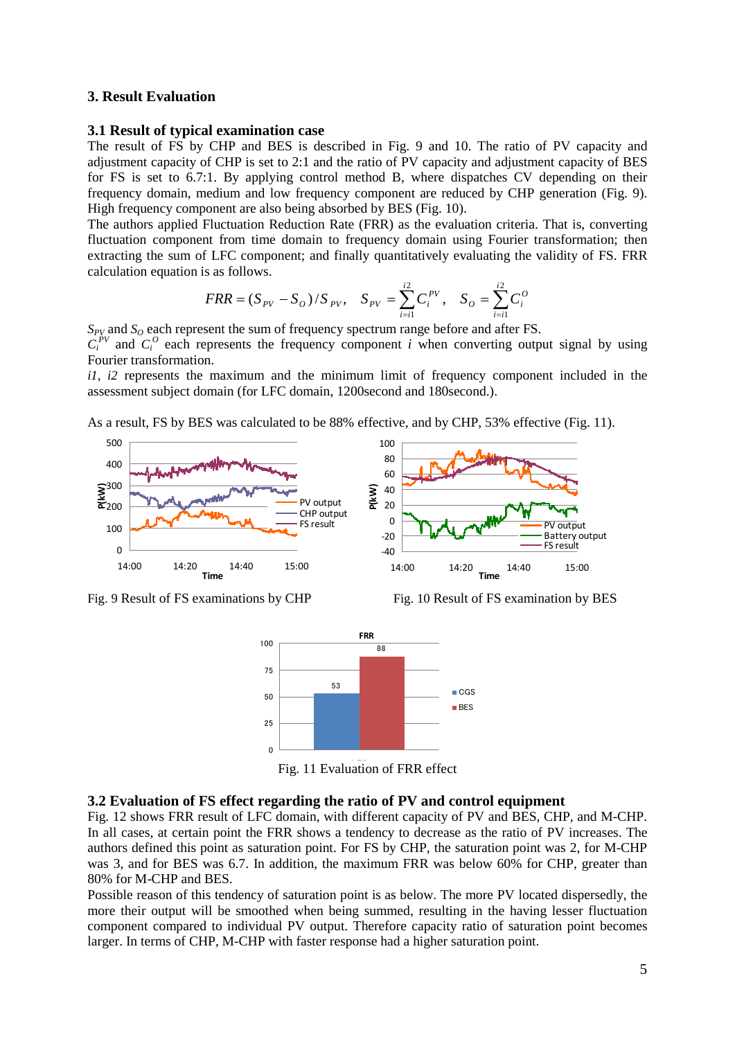### **3. Result Evaluation**

#### **3.1 Result of typical examination case**

The result of FS by CHP and BES is described in Fig. 9 and 10. The ratio of PV capacity and adjustment capacity of CHP is set to 2:1 and the ratio of PV capacity and adjustment capacity of BES for FS is set to 6.7:1. By applying control method B, where dispatches CV depending on their frequency domain, medium and low frequency component are reduced by CHP generation (Fig. 9). High frequency component are also being absorbed by BES (Fig. 10).

The authors applied Fluctuation Reduction Rate (FRR) as the evaluation criteria. That is, converting fluctuation component from time domain to frequency domain using Fourier transformation; then extracting the sum of LFC component; and finally quantitatively evaluating the validity of FS. FRR calculation equation is as follows.

$$
FRR = (S_{PV} - S_o) / S_{PV}, \quad S_{PV} = \sum_{i=i1}^{i2} C_i^{PV}, \quad S_o = \sum_{i=i1}^{i2} C_i^{O}
$$

 $S_{PV}$  and  $S_Q$  each represent the sum of frequency spectrum range before and after FS.

 $C_i^{PV}$  and  $C_i^{O}$  each represents the frequency component *i* when converting output signal by using Fourier transformation.

*i1, i2* represents the maximum and the minimum limit of frequency component included in the assessment subject domain (for LFC domain, 1200second and 180second.).

As a result, FS by BES was calculated to be 88% effective, and by CHP, 53% effective (Fig. 11).



Fig. 9 Result of FS examinations by CHP Fig. 10 Result of FS examination by BES



Fig. 11 Evaluation of FRR effect

#### **3.2 Evaluation of FS effect regarding the ratio of PV and control equipment**

Fig. 12 shows FRR result of LFC domain, with different capacity of PV and BES, CHP, and M-CHP. In all cases, at certain point the FRR shows a tendency to decrease as the ratio of PV increases. The authors defined this point as saturation point. For FS by CHP, the saturation point was 2, for M-CHP was 3, and for BES was 6.7. In addition, the maximum FRR was below 60% for CHP, greater than 80% for M-CHP and BES.

Possible reason of this tendency of saturation point is as below. The more PV located dispersedly, the more their output will be smoothed when being summed, resulting in the having lesser fluctuation component compared to individual PV output. Therefore capacity ratio of saturation point becomes larger. In terms of CHP, M-CHP with faster response had a higher saturation point.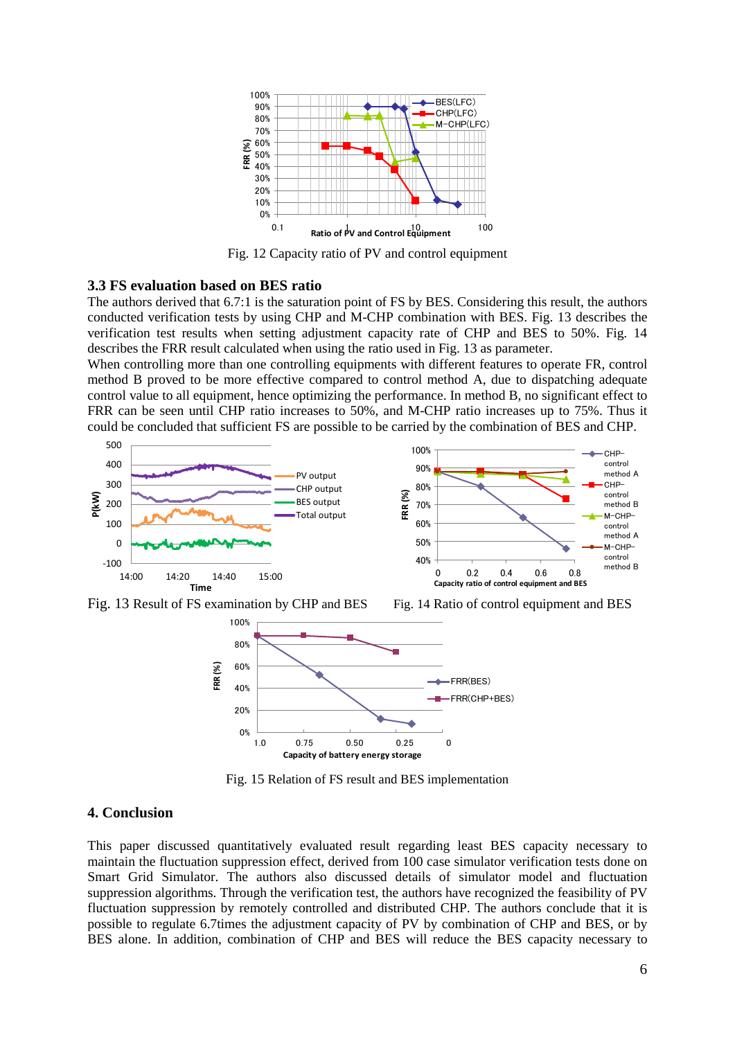

Fig. 12 Capacity ratio of PV and control equipment

# **3.3 FS evaluation based on BES ratio**

The authors derived that 6.7:1 is the saturation point of FS by BES. Considering this result, the authors conducted verification tests by using CHP and M-CHP combination with BES. Fig. 13 describes the verification test results when setting adjustment capacity rate of CHP and BES to 50%. Fig. 14 describes the FRR result calculated when using the ratio used in Fig. 13 as parameter.

When controlling more than one controlling equipments with different features to operate FR, control method B proved to be more effective compared to control method A, due to dispatching adequate control value to all equipment, hence optimizing the performance. In method B, no significant effect to FRR can be seen until CHP ratio increases to 50%, and M-CHP ratio increases up to 75%. Thus it could be concluded that sufficient FS are possible to be carried by the combination of BES and CHP.



Fig. 13 Result of FS examination by CHP and BES Fig. 14 Ratio of control equipment and BES



Fig. 15 Relation of FS result and BES implementation

#### **4. Conclusion**

This paper discussed quantitatively evaluated result regarding least BES capacity necessary to maintain the fluctuation suppression effect, derived from 100 case simulator verification tests done on Smart Grid Simulator. The authors also discussed details of simulator model and fluctuation suppression algorithms. Through the verification test, the authors have recognized the feasibility of PV fluctuation suppression by remotely controlled and distributed CHP. The authors conclude that it is possible to regulate 6.7times the adjustment capacity of PV by combination of CHP and BES, or by BES alone. In addition, combination of CHP and BES will reduce the BES capacity necessary to